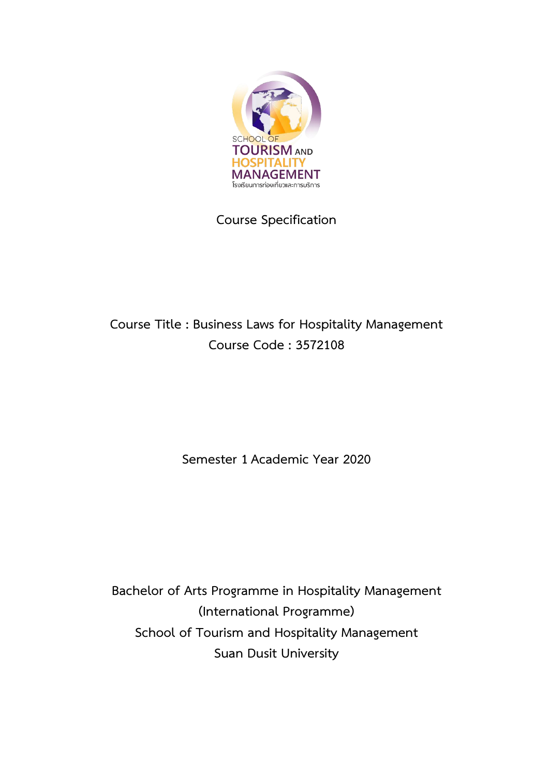

# **Course Specification**

# **Course Title : Business Laws for Hospitality Management Course Code : 3572108**

**Semester 1 Academic Year 2020**

**Bachelor of Arts Programme in Hospitality Management (International Programme) School of Tourism and Hospitality Management Suan Dusit University**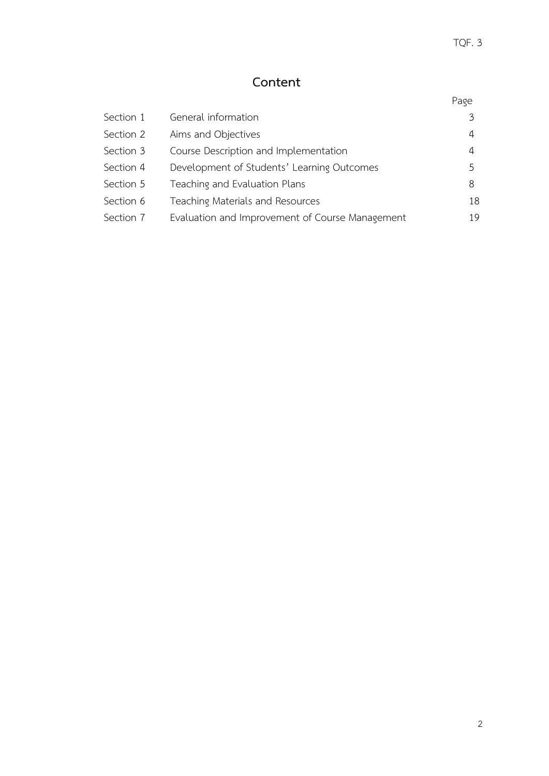# **Content**

| Section 1 | General information                             | $\mathcal{Z}$ |
|-----------|-------------------------------------------------|---------------|
| Section 2 | Aims and Objectives                             | 4             |
| Section 3 | Course Description and Implementation           | 4             |
| Section 4 | Development of Students' Learning Outcomes      | 5             |
| Section 5 | Teaching and Evaluation Plans                   | 8             |
| Section 6 | Teaching Materials and Resources                | 18            |
| Section 7 | Evaluation and Improvement of Course Management | 19            |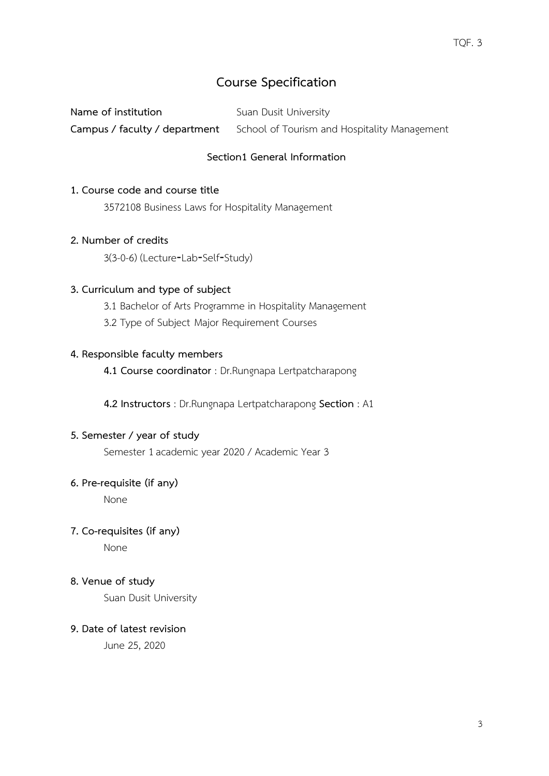# **Course Specification**

**Name of institution** Suan Dusit University **Campus / faculty / department** School of Tourism and Hospitality Management

## **Section1 General Information**

#### **1. Course code and course title**

3572108 Business Laws for Hospitality Management

#### **2. Number of credits**

3(3-0-6) (Lecture‐Lab‐Self‐Study)

#### **3. Curriculum and type of subject**

3.1 Bachelor of Arts Programme in Hospitality Management

3.2 Type of Subject Major Requirement Courses

#### **4. Responsible faculty members**

**4.1 Course coordinator** : Dr.Rungnapa Lertpatcharapong

 **4.2 Instructors** : Dr.Rungnapa Lertpatcharapong **Section** : A1

#### **5. Semester / year of study**

Semester 1academic year 2020 / Academic Year 3

#### **6. Pre-requisite (if any)**

None

#### **7. Co-requisites (if any)**

None

#### **8. Venue of study**

Suan Dusit University

#### **9. Date of latest revision**

June 25, 2020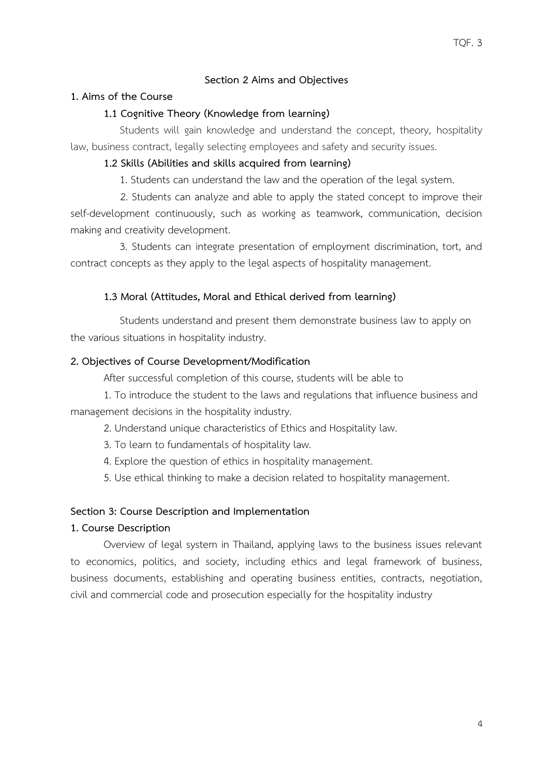### **Section 2 Aims and Objectives**

#### **1. Aims of the Course**

#### **1.1 Cognitive Theory (Knowledge from learning)**

 Students will gain knowledge and understand the concept, theory, hospitality law, business contract, legally selecting employees and safety and security issues.

#### **1.2 Skills (Abilities and skills acquired from learning)**

1. Students can understand the law and the operation of the legal system.

2. Students can analyze and able to apply the stated concept to improve their self-development continuously, such as working as teamwork, communication, decision making and creativity development.

 3. Students can integrate presentation of employment discrimination, tort, and contract concepts as they apply to the legal aspects of hospitality management.

#### **1.3 Moral (Attitudes, Moral and Ethical derived from learning)**

 Students understand and present them demonstrate business law to apply on the various situations in hospitality industry.

#### **2. Objectives of Course Development/Modification**

After successful completion of this course, students will be able to

1. To introduce the student to the laws and regulations that influence business and management decisions in the hospitality industry.

2. Understand unique characteristics of Ethics and Hospitality law.

- 3. To learn to fundamentals of hospitality law.
- 4. Explore the question of ethics in hospitality management.

5. Use ethical thinking to make a decision related to hospitality management.

#### **Section 3: Course Description and Implementation**

#### **1. Course Description**

Overview of legal system in Thailand, applying laws to the business issues relevant to economics, politics, and society, including ethics and legal framework of business, business documents, establishing and operating business entities, contracts, negotiation, civil and commercial code and prosecution especially for the hospitality industry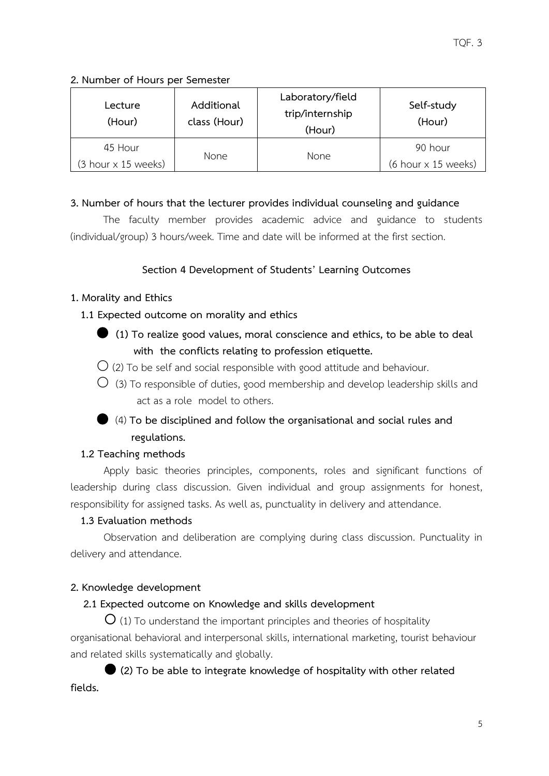## **2. Number of Hours per Semester**

| Lecture<br>(Hour)            | Additional<br>class (Hour) | Laboratory/field<br>trip/internship<br>(Hour) | Self-study<br>(Hour) |
|------------------------------|----------------------------|-----------------------------------------------|----------------------|
| 45 Hour                      | <b>None</b>                | <b>None</b>                                   | 90 hour              |
| $(3$ hour $\times$ 15 weeks) |                            |                                               | (6 hour x 15 weeks)  |

# **3. Number of hours that the lecturer provides individual counseling and guidance**

The faculty member provides academic advice and guidance to students (individual/group) 3 hours/week. Time and date will be informed at the first section.

# **Section 4 Development of Students' Learning Outcomes**

## **1. Morality and Ethics**

 **1.1 Expected outcome on morality and ethics**

- ⏺ **(1) To realize good values, moral conscience and ethics, to be able to deal with the conflicts relating to profession etiquette.**
- $\overline{O}$  (2) To be self and social responsible with good attitude and behaviour.
- $\bigcirc$  (3) To responsible of duties, good membership and develop leadership skills and act as a role model to others.
- ⏺ (4) **To be disciplined and follow the organisational and social rules and regulations.**

# **1.2 Teaching methods**

Apply basic theories principles, components, roles and significant functions of leadership during class discussion. Given individual and group assignments for honest, responsibility for assigned tasks. As well as, punctuality in delivery and attendance.

# **1.3 Evaluation methods**

Observation and deliberation are complying during class discussion. Punctuality in delivery and attendance.

# **2. Knowledge development**

# **2.1 Expected outcome on Knowledge and skills development**

 $\overline{O}$  (1) To understand the important principles and theories of hospitality organisational behavioral and interpersonal skills, international marketing, tourist behaviour and related skills systematically and globally.

 **(2) To be able to integrate knowledge of hospitality with other related fields.**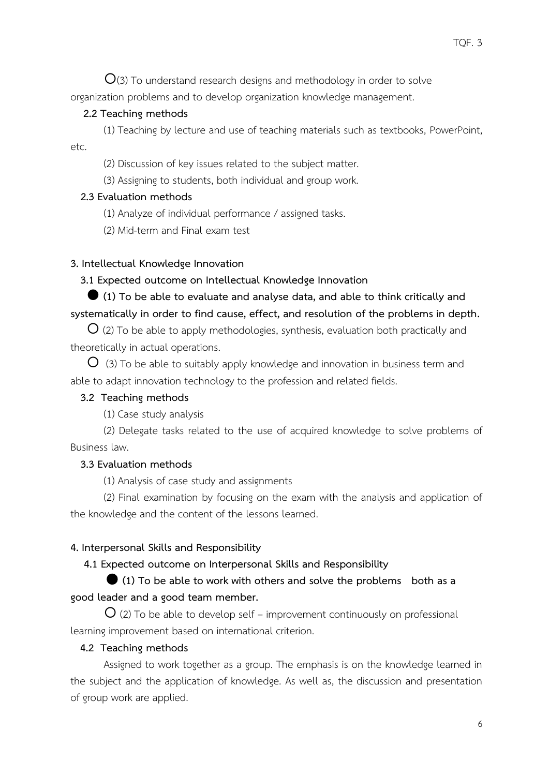$O(3)$  To understand research designs and methodology in order to solve organization problems and to develop organization knowledge management.

#### **2.2 Teaching methods**

(1) Teaching by lecture and use of teaching materials such as textbooks, PowerPoint, etc.

(2) Discussion of key issues related to the subject matter.

(3) Assigning to students, both individual and group work.

#### **2.3 Evaluation methods**

(1) Analyze of individual performance / assigned tasks.

(2) Mid-term and Final exam test

#### **3. Intellectual Knowledge Innovation**

#### **3.1 Expected outcome on Intellectual Knowledge Innovation**

# **(1) To be able to evaluate and analyse data, and able to think critically and systematically in order to find cause, effect, and resolution of the problems in depth.**

 $O$  (2) To be able to apply methodologies, synthesis, evaluation both practically and theoretically in actual operations.

 $\overline{O}$  (3) To be able to suitably apply knowledge and innovation in business term and able to adapt innovation technology to the profession and related fields.

#### **3.2 Teaching methods**

(1) Case study analysis

(2) Delegate tasks related to the use of acquired knowledge to solve problems of Business law.

#### **3.3 Evaluation methods**

(1) Analysis of case study and assignments

(2) Final examination by focusing on the exam with the analysis and application of the knowledge and the content of the lessons learned.

#### **4. Interpersonal Skills and Responsibility**

#### **4.1 Expected outcome on Interpersonal Skills and Responsibility**

# **(1) To be able to work with others and solve the problems both as a good leader and a good team member.**

 $O$  (2) To be able to develop self – improvement continuously on professional learning improvement based on international criterion.

#### **4.2 Teaching methods**

Assigned to work together as a group. The emphasis is on the knowledge learned in the subject and the application of knowledge. As well as, the discussion and presentation of group work are applied.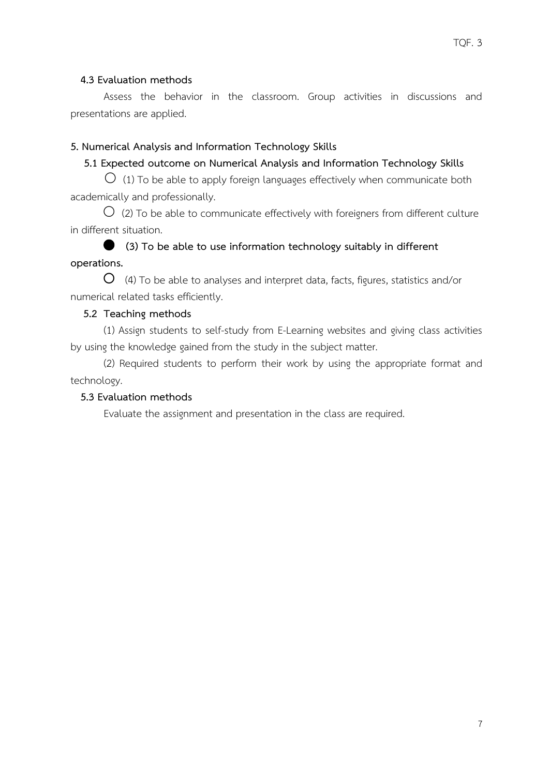### **4.3 Evaluation methods**

Assess the behavior in the classroom. Group activities in discussions and presentations are applied.

#### **5. Numerical Analysis and Information Technology Skills**

#### **5.1 Expected outcome on Numerical Analysis and Information Technology Skills**

 $\bigcirc$  (1) To be able to apply foreign languages effectively when communicate both academically and professionally.

 $\bigcirc$  (2) To be able to communicate effectively with foreigners from different culture in different situation.

  **(3) To be able to use information technology suitably in different operations.**

 $\overline{O}$  (4) To be able to analyses and interpret data, facts, figures, statistics and/or numerical related tasks efficiently.

#### **5.2 Teaching methods**

(1) Assign students to self-study from E-Learning websites and giving class activities by using the knowledge gained from the study in the subject matter.

(2) Required students to perform their work by using the appropriate format and technology.

#### **5.3 Evaluation methods**

Evaluate the assignment and presentation in the class are required.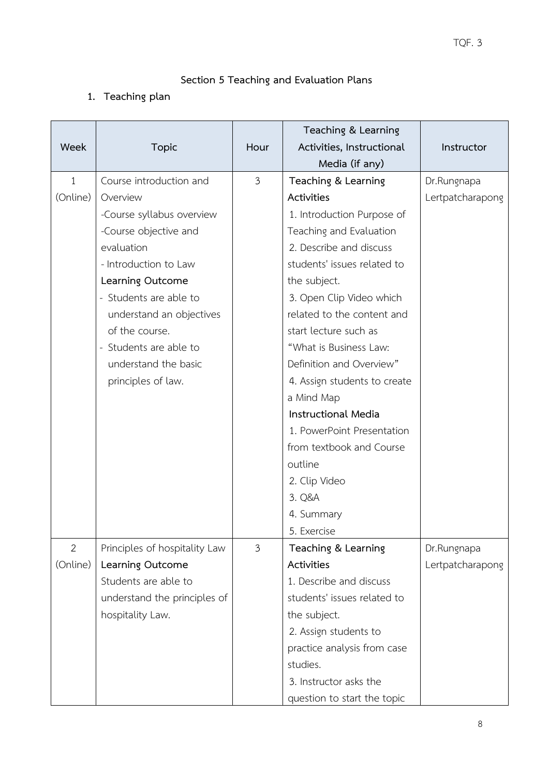# **Section 5 Teaching and Evaluation Plans**

# **1. Teaching plan**

|                |                               |                | Teaching & Learning          |                  |
|----------------|-------------------------------|----------------|------------------------------|------------------|
| Week           | <b>Topic</b>                  | Hour           | Activities, Instructional    | Instructor       |
|                |                               |                | Media (if any)               |                  |
| $\mathbf{1}$   | Course introduction and       | $\mathfrak{Z}$ | Teaching & Learning          | Dr.Rungnapa      |
| (Online)       | Overview                      |                | Activities                   | Lertpatcharapong |
|                | -Course syllabus overview     |                | 1. Introduction Purpose of   |                  |
|                | -Course objective and         |                | Teaching and Evaluation      |                  |
|                | evaluation                    |                | 2. Describe and discuss      |                  |
|                | - Introduction to Law         |                | students' issues related to  |                  |
|                | Learning Outcome              |                | the subject.                 |                  |
|                | - Students are able to        |                | 3. Open Clip Video which     |                  |
|                | understand an objectives      |                | related to the content and   |                  |
|                | of the course.                |                | start lecture such as        |                  |
|                | - Students are able to        |                | "What is Business Law:       |                  |
|                | understand the basic          |                | Definition and Overview"     |                  |
|                | principles of law.            |                | 4. Assign students to create |                  |
|                |                               |                | a Mind Map                   |                  |
|                |                               |                | <b>Instructional Media</b>   |                  |
|                |                               |                | 1. PowerPoint Presentation   |                  |
|                |                               |                | from textbook and Course     |                  |
|                |                               |                | outline                      |                  |
|                |                               |                | 2. Clip Video                |                  |
|                |                               |                | 3. Q&A                       |                  |
|                |                               |                | 4. Summary                   |                  |
|                |                               |                | 5. Exercise                  |                  |
| $\overline{2}$ | Principles of hospitality Law | $\mathfrak{Z}$ | Teaching & Learning          | Dr.Rungnapa      |
| (Online)       | Learning Outcome              |                | Activities                   | Lertpatcharapong |
|                | Students are able to          |                | 1. Describe and discuss      |                  |
|                | understand the principles of  |                | students' issues related to  |                  |
|                | hospitality Law.              |                | the subject.                 |                  |
|                |                               |                | 2. Assign students to        |                  |
|                |                               |                | practice analysis from case  |                  |
|                |                               |                | studies.                     |                  |
|                |                               |                | 3. Instructor asks the       |                  |
|                |                               |                | question to start the topic  |                  |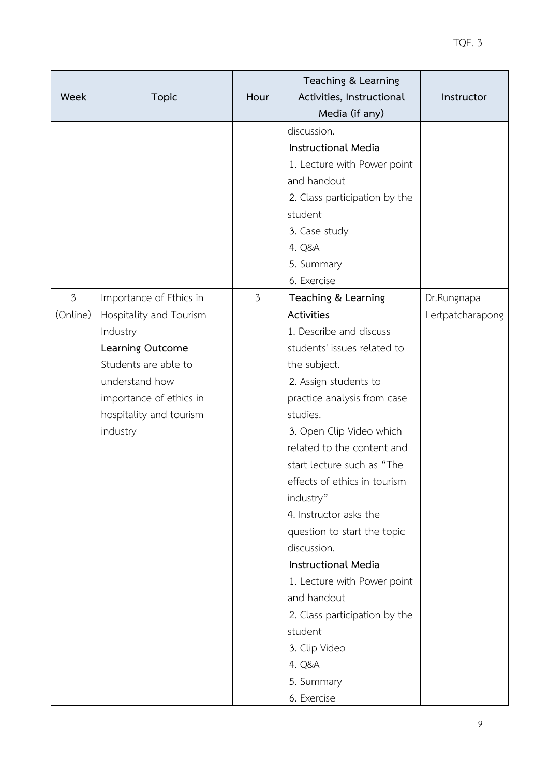| <b>Week</b>                | <b>Topic</b>                                                                                                                                                                                   | Hour           | Teaching & Learning<br>Activities, Instructional<br>Media (if any)                                                                                                                                                                                                                                                                                                                                                                                                                                                                                                           | Instructor                      |
|----------------------------|------------------------------------------------------------------------------------------------------------------------------------------------------------------------------------------------|----------------|------------------------------------------------------------------------------------------------------------------------------------------------------------------------------------------------------------------------------------------------------------------------------------------------------------------------------------------------------------------------------------------------------------------------------------------------------------------------------------------------------------------------------------------------------------------------------|---------------------------------|
|                            |                                                                                                                                                                                                |                | discussion.<br>Instructional Media<br>1. Lecture with Power point<br>and handout<br>2. Class participation by the<br>student<br>3. Case study<br>4. Q&A<br>5. Summary<br>6. Exercise                                                                                                                                                                                                                                                                                                                                                                                         |                                 |
| $\mathfrak{Z}$<br>(Online) | Importance of Ethics in<br>Hospitality and Tourism<br>Industry<br>Learning Outcome<br>Students are able to<br>understand how<br>importance of ethics in<br>hospitality and tourism<br>industry | $\mathfrak{Z}$ | Teaching & Learning<br>Activities<br>1. Describe and discuss<br>students' issues related to<br>the subject.<br>2. Assign students to<br>practice analysis from case<br>studies.<br>3. Open Clip Video which<br>related to the content and<br>start lecture such as "The<br>effects of ethics in tourism<br>industry"<br>4. Instructor asks the<br>question to start the topic<br>discussion.<br><b>Instructional Media</b><br>1. Lecture with Power point<br>and handout<br>2. Class participation by the<br>student<br>3. Clip Video<br>4. Q&A<br>5. Summary<br>6. Exercise | Dr.Rungnapa<br>Lertpatcharapong |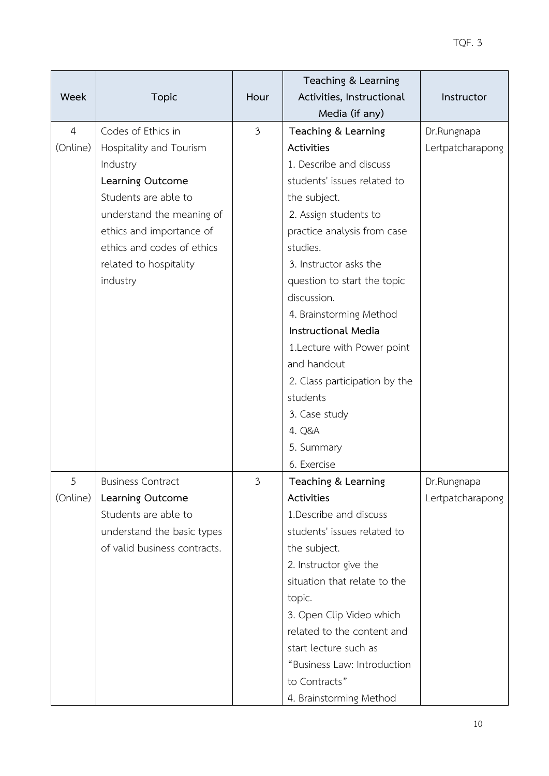| Week           | <b>Topic</b>                                           | Hour           | Teaching & Learning<br>Activities, Instructional | Instructor       |
|----------------|--------------------------------------------------------|----------------|--------------------------------------------------|------------------|
|                |                                                        |                | Media (if any)                                   |                  |
| $\overline{4}$ | Codes of Ethics in                                     | $\mathfrak{Z}$ | Teaching & Learning                              | Dr.Rungnapa      |
| (Online)       | Hospitality and Tourism                                |                | Activities<br>1. Describe and discuss            | Lertpatcharapong |
|                | Industry                                               |                |                                                  |                  |
|                | Learning Outcome                                       |                | students' issues related to                      |                  |
|                | Students are able to                                   |                | the subject.                                     |                  |
|                | understand the meaning of                              |                | 2. Assign students to                            |                  |
|                | ethics and importance of<br>ethics and codes of ethics |                | practice analysis from case<br>studies.          |                  |
|                |                                                        |                | 3. Instructor asks the                           |                  |
|                | related to hospitality<br>industry                     |                | question to start the topic                      |                  |
|                |                                                        |                | discussion.                                      |                  |
|                |                                                        |                | 4. Brainstorming Method                          |                  |
|                |                                                        |                | Instructional Media                              |                  |
|                |                                                        |                | 1. Lecture with Power point                      |                  |
|                |                                                        |                | and handout                                      |                  |
|                |                                                        |                | 2. Class participation by the                    |                  |
|                |                                                        |                | students                                         |                  |
|                |                                                        |                | 3. Case study                                    |                  |
|                |                                                        |                | 4. Q&A                                           |                  |
|                |                                                        |                | 5. Summary                                       |                  |
|                |                                                        |                | 6. Exercise                                      |                  |
| 5              | <b>Business Contract</b>                               | 3              | Teaching & Learning                              | Dr.Rungnapa      |
| (Online)       | Learning Outcome                                       |                | Activities                                       | Lertpatcharapong |
|                | Students are able to                                   |                | 1. Describe and discuss                          |                  |
|                | understand the basic types                             |                | students' issues related to                      |                  |
|                | of valid business contracts.                           |                | the subject.                                     |                  |
|                |                                                        |                | 2. Instructor give the                           |                  |
|                |                                                        |                | situation that relate to the                     |                  |
|                |                                                        |                | topic.                                           |                  |
|                |                                                        |                | 3. Open Clip Video which                         |                  |
|                |                                                        |                | related to the content and                       |                  |
|                |                                                        |                | start lecture such as                            |                  |
|                |                                                        |                | "Business Law: Introduction                      |                  |
|                |                                                        |                | to Contracts"                                    |                  |
|                |                                                        |                | 4. Brainstorming Method                          |                  |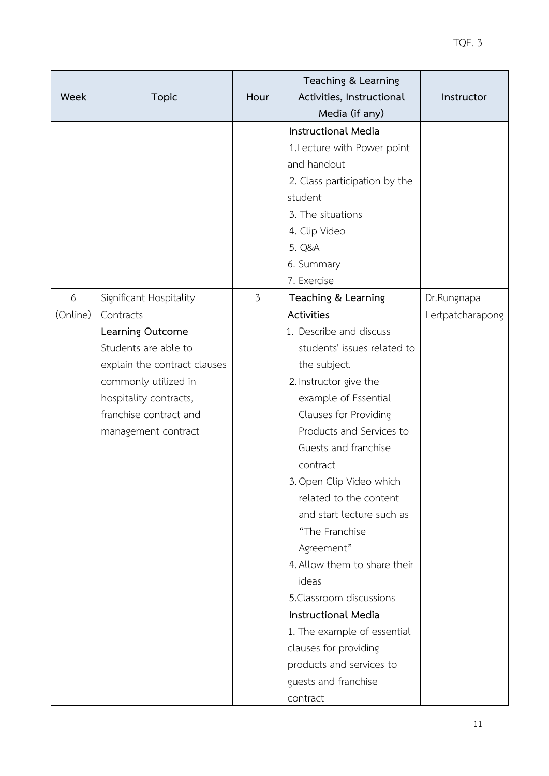| <b>Week</b>   | <b>Topic</b>                                                                                                                                                                                                        | Hour           | Teaching & Learning<br>Activities, Instructional                                                                                                                                                                                                                                                                                                                                                                                                                                                                                                                                                            | Instructor                      |
|---------------|---------------------------------------------------------------------------------------------------------------------------------------------------------------------------------------------------------------------|----------------|-------------------------------------------------------------------------------------------------------------------------------------------------------------------------------------------------------------------------------------------------------------------------------------------------------------------------------------------------------------------------------------------------------------------------------------------------------------------------------------------------------------------------------------------------------------------------------------------------------------|---------------------------------|
|               |                                                                                                                                                                                                                     |                |                                                                                                                                                                                                                                                                                                                                                                                                                                                                                                                                                                                                             |                                 |
|               |                                                                                                                                                                                                                     |                | Media (if any)<br><b>Instructional Media</b><br>1. Lecture with Power point<br>and handout<br>2. Class participation by the<br>student<br>3. The situations<br>4. Clip Video<br>5. Q&A<br>6. Summary                                                                                                                                                                                                                                                                                                                                                                                                        |                                 |
|               |                                                                                                                                                                                                                     |                | 7. Exercise                                                                                                                                                                                                                                                                                                                                                                                                                                                                                                                                                                                                 |                                 |
| 6<br>(Online) | Significant Hospitality<br>Contracts<br>Learning Outcome<br>Students are able to<br>explain the contract clauses<br>commonly utilized in<br>hospitality contracts,<br>franchise contract and<br>management contract | $\mathfrak{Z}$ | Teaching & Learning<br><b>Activities</b><br>1. Describe and discuss<br>students' issues related to<br>the subject.<br>2. Instructor give the<br>example of Essential<br>Clauses for Providing<br>Products and Services to<br>Guests and franchise<br>contract<br>3. Open Clip Video which<br>related to the content<br>and start lecture such as<br>"The Franchise<br>Agreement"<br>4. Allow them to share their<br>ideas<br>5. Classroom discussions<br><b>Instructional Media</b><br>1. The example of essential<br>clauses for providing<br>products and services to<br>guests and franchise<br>contract | Dr.Rungnapa<br>Lertpatcharapong |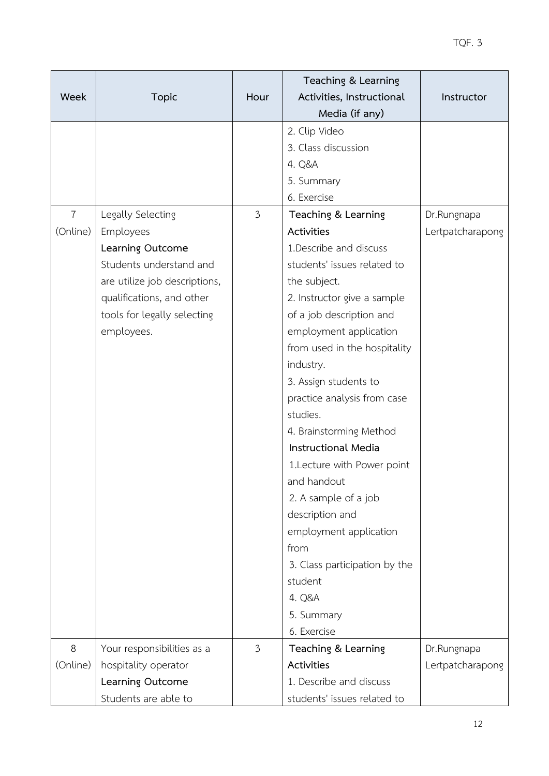| Week           | <b>Topic</b>                  | Hour           | Teaching & Learning<br>Activities, Instructional<br>Media (if any) | Instructor       |
|----------------|-------------------------------|----------------|--------------------------------------------------------------------|------------------|
|                |                               |                | 2. Clip Video                                                      |                  |
|                |                               |                | 3. Class discussion                                                |                  |
|                |                               |                | 4. Q&A                                                             |                  |
|                |                               |                | 5. Summary                                                         |                  |
|                |                               |                | 6. Exercise                                                        |                  |
| $\overline{7}$ | Legally Selecting             | $\mathfrak{Z}$ | Teaching & Learning                                                | Dr.Rungnapa      |
| (Online)       | Employees                     |                | Activities                                                         | Lertpatcharapong |
|                | Learning Outcome              |                | 1. Describe and discuss                                            |                  |
|                | Students understand and       |                | students' issues related to                                        |                  |
|                | are utilize job descriptions, |                | the subject.                                                       |                  |
|                | qualifications, and other     |                | 2. Instructor give a sample                                        |                  |
|                | tools for legally selecting   |                | of a job description and                                           |                  |
|                | employees.                    |                | employment application                                             |                  |
|                |                               |                | from used in the hospitality                                       |                  |
|                |                               |                | industry.                                                          |                  |
|                |                               |                | 3. Assign students to                                              |                  |
|                |                               |                | practice analysis from case                                        |                  |
|                |                               |                | studies.                                                           |                  |
|                |                               |                | 4. Brainstorming Method                                            |                  |
|                |                               |                | <b>Instructional Media</b>                                         |                  |
|                |                               |                | 1. Lecture with Power point                                        |                  |
|                |                               |                | and handout                                                        |                  |
|                |                               |                | 2. A sample of a job                                               |                  |
|                |                               |                | description and                                                    |                  |
|                |                               |                | employment application                                             |                  |
|                |                               |                | from                                                               |                  |
|                |                               |                | 3. Class participation by the                                      |                  |
|                |                               |                | student                                                            |                  |
|                |                               |                | 4. Q&A                                                             |                  |
|                |                               |                | 5. Summary                                                         |                  |
|                |                               |                | 6. Exercise                                                        |                  |
| 8              | Your responsibilities as a    | $\mathfrak{Z}$ | Teaching & Learning                                                | Dr.Rungnapa      |
| (Online)       | hospitality operator          |                | Activities                                                         | Lertpatcharapong |
|                | Learning Outcome              |                | 1. Describe and discuss                                            |                  |
|                | Students are able to          |                | students' issues related to                                        |                  |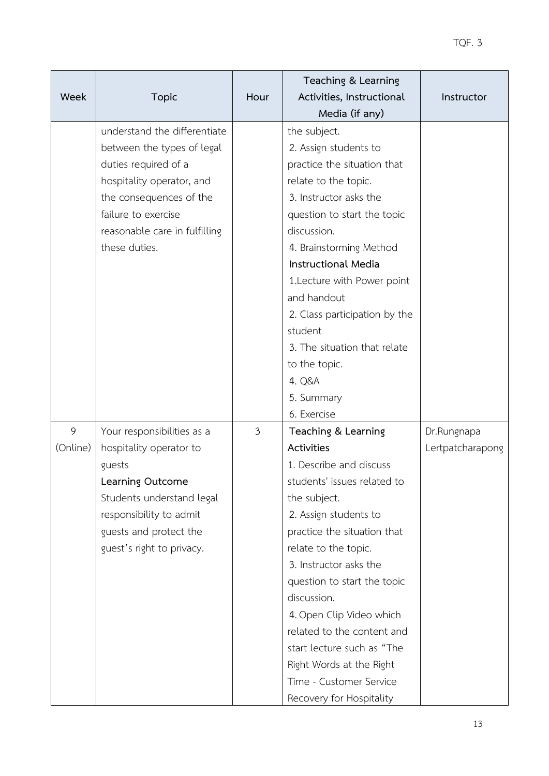| <b>Week</b> | <b>Topic</b>                  | Hour           | Teaching & Learning<br>Activities, Instructional | Instructor       |
|-------------|-------------------------------|----------------|--------------------------------------------------|------------------|
|             |                               |                | Media (if any)                                   |                  |
|             | understand the differentiate  |                | the subject.                                     |                  |
|             | between the types of legal    |                | 2. Assign students to                            |                  |
|             | duties required of a          |                | practice the situation that                      |                  |
|             | hospitality operator, and     |                | relate to the topic.                             |                  |
|             | the consequences of the       |                | 3. Instructor asks the                           |                  |
|             | failure to exercise           |                | question to start the topic                      |                  |
|             | reasonable care in fulfilling |                | discussion.                                      |                  |
|             | these duties.                 |                | 4. Brainstorming Method                          |                  |
|             |                               |                | <b>Instructional Media</b>                       |                  |
|             |                               |                | 1.Lecture with Power point                       |                  |
|             |                               |                | and handout                                      |                  |
|             |                               |                | 2. Class participation by the                    |                  |
|             |                               |                | student                                          |                  |
|             |                               |                | 3. The situation that relate                     |                  |
|             |                               |                | to the topic.                                    |                  |
|             |                               |                | 4. Q&A                                           |                  |
|             |                               |                | 5. Summary                                       |                  |
|             |                               |                | 6. Exercise                                      |                  |
| 9           | Your responsibilities as a    | $\mathfrak{Z}$ | Teaching & Learning                              | Dr.Rungnapa      |
| (Online)    | hospitality operator to       |                | Activities                                       | Lertpatcharapong |
|             | guests                        |                | 1. Describe and discuss                          |                  |
|             | Learning Outcome              |                | students' issues related to                      |                  |
|             | Students understand legal     |                | the subject.                                     |                  |
|             | responsibility to admit       |                | 2. Assign students to                            |                  |
|             | guests and protect the        |                | practice the situation that                      |                  |
|             | guest's right to privacy.     |                | relate to the topic.                             |                  |
|             |                               |                | 3. Instructor asks the                           |                  |
|             |                               |                | question to start the topic                      |                  |
|             |                               |                | discussion.                                      |                  |
|             |                               |                | 4. Open Clip Video which                         |                  |
|             |                               |                | related to the content and                       |                  |
|             |                               |                | start lecture such as "The                       |                  |
|             |                               |                | Right Words at the Right                         |                  |
|             |                               |                | Time - Customer Service                          |                  |
|             |                               |                | Recovery for Hospitality                         |                  |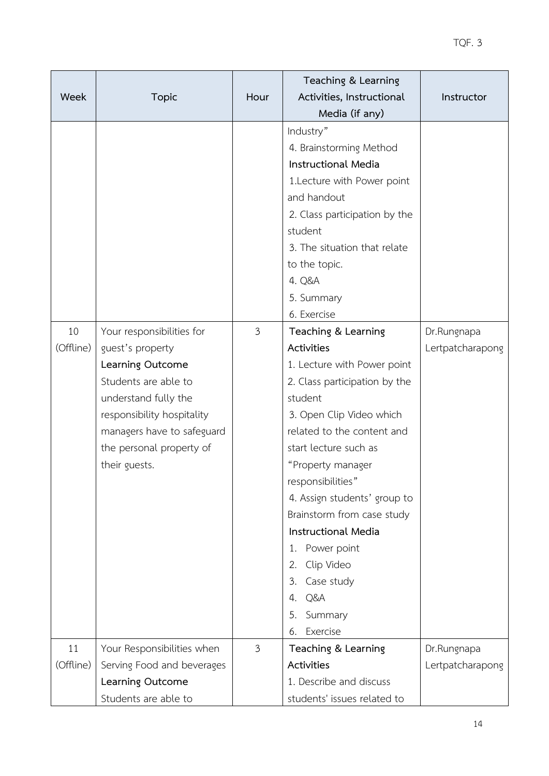| Week            | <b>Topic</b>                                                                                                                                                                                                               | Hour           | Teaching & Learning<br>Activities, Instructional<br>Media (if any)                                                                                                                                                                                                                                                                                                                                                                              | Instructor                      |
|-----------------|----------------------------------------------------------------------------------------------------------------------------------------------------------------------------------------------------------------------------|----------------|-------------------------------------------------------------------------------------------------------------------------------------------------------------------------------------------------------------------------------------------------------------------------------------------------------------------------------------------------------------------------------------------------------------------------------------------------|---------------------------------|
|                 |                                                                                                                                                                                                                            |                | Industry"<br>4. Brainstorming Method<br><b>Instructional Media</b><br>1.Lecture with Power point<br>and handout<br>2. Class participation by the<br>student<br>3. The situation that relate<br>to the topic.<br>4. Q&A<br>5. Summary<br>6. Exercise                                                                                                                                                                                             |                                 |
| 10<br>(Offline) | Your responsibilities for<br>guest's property<br>Learning Outcome<br>Students are able to<br>understand fully the<br>responsibility hospitality<br>managers have to safeguard<br>the personal property of<br>their guests. | $\mathfrak{Z}$ | Teaching & Learning<br>Activities<br>1. Lecture with Power point<br>2. Class participation by the<br>student<br>3. Open Clip Video which<br>related to the content and<br>start lecture such as<br>"Property manager<br>responsibilities"<br>4. Assign students' group to<br>Brainstorm from case study<br><b>Instructional Media</b><br>1. Power point<br>Clip Video<br>2.<br>Case study<br>3.<br>Q&A<br>4.<br>Summary<br>5.<br>Exercise<br>6. | Dr.Rungnapa<br>Lertpatcharapong |
| 11<br>(Offline) | Your Responsibilities when<br>Serving Food and beverages<br>Learning Outcome<br>Students are able to                                                                                                                       | $\mathfrak{Z}$ | Teaching & Learning<br>Activities<br>1. Describe and discuss<br>students' issues related to                                                                                                                                                                                                                                                                                                                                                     | Dr.Rungnapa<br>Lertpatcharapong |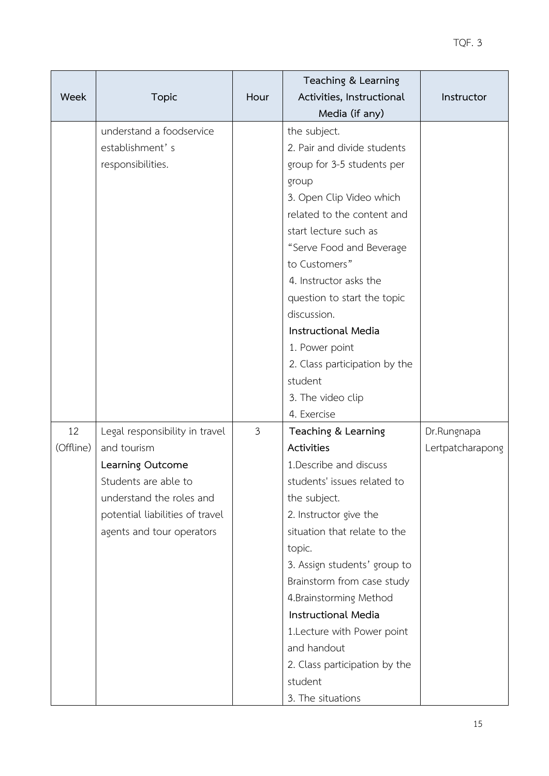| Week      | <b>Topic</b>                                                                                                     | Hour           | Teaching & Learning<br>Activities, Instructional                                                                                                       | Instructor       |
|-----------|------------------------------------------------------------------------------------------------------------------|----------------|--------------------------------------------------------------------------------------------------------------------------------------------------------|------------------|
|           | understand a foodservice<br>establishment's<br>responsibilities.                                                 |                | Media (if any)<br>the subject.<br>2. Pair and divide students<br>group for 3-5 students per<br>group                                                   |                  |
|           |                                                                                                                  |                | 3. Open Clip Video which<br>related to the content and<br>start lecture such as<br>"Serve Food and Beverage<br>to Customers"<br>4. Instructor asks the |                  |
|           |                                                                                                                  |                | question to start the topic<br>discussion.<br><b>Instructional Media</b>                                                                               |                  |
|           |                                                                                                                  |                | 1. Power point<br>2. Class participation by the<br>student<br>3. The video clip                                                                        |                  |
| 12        | Legal responsibility in travel                                                                                   | $\mathfrak{Z}$ | 4. Exercise<br>Teaching & Learning                                                                                                                     | Dr.Rungnapa      |
| (Offline) | and tourism<br>Learning Outcome                                                                                  |                | Activities<br>1. Describe and discuss                                                                                                                  | Lertpatcharapong |
|           | Students are able to<br>understand the roles and<br>potential liabilities of travel<br>agents and tour operators |                | students' issues related to<br>the subject.<br>2. Instructor give the<br>situation that relate to the<br>topic.                                        |                  |
|           |                                                                                                                  |                | 3. Assign students' group to<br>Brainstorm from case study<br>4. Brainstorming Method<br>Instructional Media                                           |                  |
|           |                                                                                                                  |                | 1. Lecture with Power point<br>and handout<br>2. Class participation by the<br>student<br>3. The situations                                            |                  |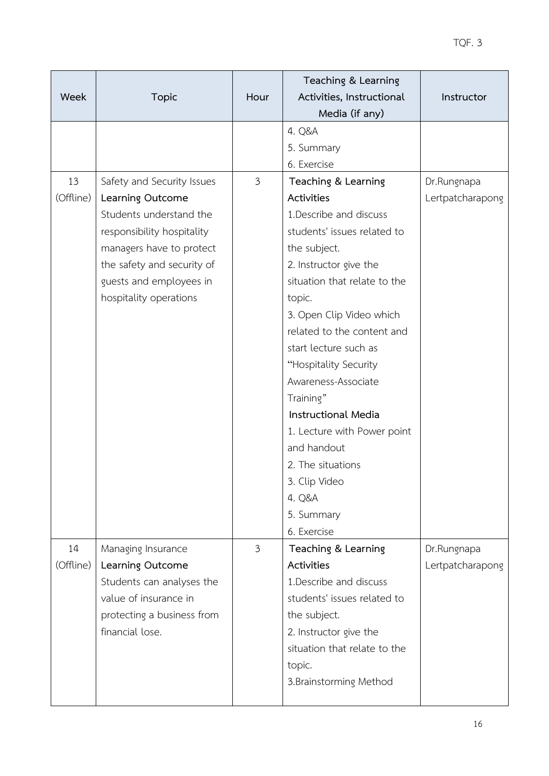| Week      | <b>Topic</b>                                       | Hour           | Teaching & Learning<br>Activities, Instructional<br>Media (if any) | Instructor       |
|-----------|----------------------------------------------------|----------------|--------------------------------------------------------------------|------------------|
|           |                                                    |                | 4. Q&A                                                             |                  |
|           |                                                    |                | 5. Summary                                                         |                  |
|           |                                                    |                | 6. Exercise                                                        |                  |
| 13        | Safety and Security Issues                         | $\mathfrak{Z}$ | Teaching & Learning                                                | Dr.Rungnapa      |
| (Offline) | Learning Outcome                                   |                | Activities                                                         | Lertpatcharapong |
|           | Students understand the                            |                | 1. Describe and discuss                                            |                  |
|           | responsibility hospitality                         |                | students' issues related to                                        |                  |
|           | managers have to protect                           |                | the subject.                                                       |                  |
|           | the safety and security of                         |                | 2. Instructor give the                                             |                  |
|           | guests and employees in                            |                | situation that relate to the                                       |                  |
|           | hospitality operations                             |                | topic.                                                             |                  |
|           |                                                    |                | 3. Open Clip Video which                                           |                  |
|           |                                                    |                | related to the content and                                         |                  |
|           |                                                    |                | start lecture such as                                              |                  |
|           |                                                    |                | "Hospitality Security                                              |                  |
|           |                                                    |                | Awareness-Associate                                                |                  |
|           |                                                    |                | Training"                                                          |                  |
|           |                                                    |                | Instructional Media                                                |                  |
|           |                                                    |                | 1. Lecture with Power point                                        |                  |
|           |                                                    |                | and handout                                                        |                  |
|           |                                                    |                | 2. The situations                                                  |                  |
|           |                                                    |                | 3. Clip Video                                                      |                  |
|           |                                                    |                | 4. Q&A                                                             |                  |
|           |                                                    |                | 5. Summary                                                         |                  |
|           |                                                    |                | 6. Exercise                                                        |                  |
| 14        | Managing Insurance                                 | $\mathfrak{Z}$ | Teaching & Learning                                                | Dr.Rungnapa      |
| (Offline) | Learning Outcome                                   |                | Activities                                                         | Lertpatcharapong |
|           | Students can analyses the<br>value of insurance in |                | 1. Describe and discuss<br>students' issues related to             |                  |
|           |                                                    |                |                                                                    |                  |
|           | protecting a business from<br>financial lose.      |                | the subject.                                                       |                  |
|           |                                                    |                | 2. Instructor give the<br>situation that relate to the             |                  |
|           |                                                    |                | topic.                                                             |                  |
|           |                                                    |                | 3. Brainstorming Method                                            |                  |
|           |                                                    |                |                                                                    |                  |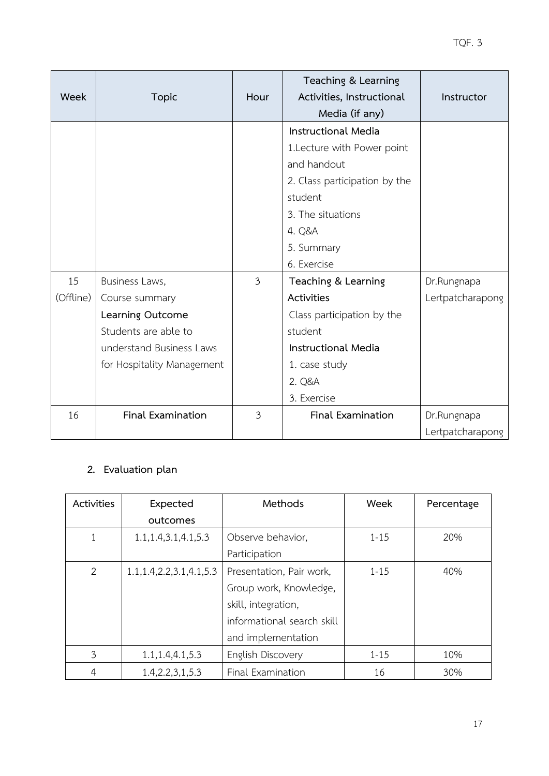| Week            | <b>Topic</b>                                                                                                                           | Hour           | Teaching & Learning<br>Activities, Instructional<br>Media (if any)                                                                                                               | Instructor                      |
|-----------------|----------------------------------------------------------------------------------------------------------------------------------------|----------------|----------------------------------------------------------------------------------------------------------------------------------------------------------------------------------|---------------------------------|
|                 |                                                                                                                                        |                | <b>Instructional Media</b><br>1. Lecture with Power point<br>and handout<br>2. Class participation by the<br>student<br>3. The situations<br>4. Q&A<br>5. Summary<br>6. Exercise |                                 |
| 15<br>(Offline) | Business Laws,<br>Course summary<br>Learning Outcome<br>Students are able to<br>understand Business Laws<br>for Hospitality Management | $\mathfrak{Z}$ | Teaching & Learning<br>Activities<br>Class participation by the<br>student<br><b>Instructional Media</b><br>1. case study<br>2. Q&A<br>3. Exercise                               | Dr.Rungnapa<br>Lertpatcharapong |
| 16              | Final Examination                                                                                                                      | 3              | <b>Final Examination</b>                                                                                                                                                         | Dr.Rungnapa<br>Lertpatcharapong |

# **2. Evaluation plan**

| Activities     | Expected                     | Methods                    | Week     | Percentage |
|----------------|------------------------------|----------------------------|----------|------------|
|                | outcomes                     |                            |          |            |
|                | 1.1, 1.4, 3.1, 4.1, 5.3      | Observe behavior,          | $1 - 15$ | 20%        |
|                |                              | Participation              |          |            |
| $\overline{2}$ | 1.1, 1.4, 2.2, 3.1, 4.1, 5.3 | Presentation, Pair work,   | $1 - 15$ | 40%        |
|                |                              | Group work, Knowledge,     |          |            |
|                |                              | skill, integration,        |          |            |
|                |                              | informational search skill |          |            |
|                |                              | and implementation         |          |            |
| 3              | 1.1, 1.4, 4.1, 5.3           | English Discovery          | $1 - 15$ | 10%        |
| 4              | 1.4, 2.2, 3, 1, 5.3          | Final Examination          | 16       | 30%        |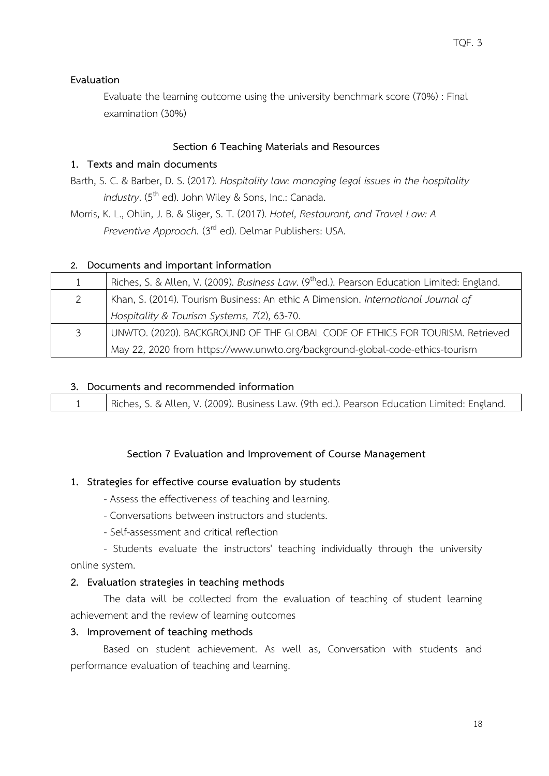#### **Evaluation**

Evaluate the learning outcome using the university benchmark score (70%) : Final examination (30%)

#### **Section 6 Teaching Materials and Resources**

### **1. Texts and main documents**

Barth, S. C. & Barber, D. S. (2017). *Hospitality law: managing legal issues in the hospitality industry*. (5<sup>th</sup> ed). John Wiley & Sons, Inc.: Canada.

Morris, K. L., Ohlin, J. B. & Sliger, S. T. (2017). *Hotel, Restaurant, and Travel Law: A Preventive Approach.* (3rd ed). Delmar Publishers: USA.

#### **2. Documents and important information**

| 1 | Riches, S. & Allen, V. (2009). Business Law. (9 <sup>th</sup> ed.). Pearson Education Limited: England. |  |
|---|---------------------------------------------------------------------------------------------------------|--|
| 2 | Khan, S. (2014). Tourism Business: An ethic A Dimension. International Journal of                       |  |
|   | Hospitality & Tourism Systems, 7(2), 63-70.                                                             |  |
| 3 | UNWTO. (2020). BACKGROUND OF THE GLOBAL CODE OF ETHICS FOR TOURISM. Retrieved                           |  |
|   | May 22, 2020 from https://www.unwto.org/background-global-code-ethics-tourism                           |  |

#### **3. Documents and recommended information**

| Riches, S. & Allen, V. (2009). Business Law. (9th ed.). Pearson Education Limited: England. |
|---------------------------------------------------------------------------------------------|
|---------------------------------------------------------------------------------------------|

### **Section 7 Evaluation and Improvement of Course Management**

#### **1. Strategies for effective course evaluation by students**

- Assess the effectiveness of teaching and learning.
- Conversations between instructors and students.
- Self-assessment and critical reflection

- Students evaluate the instructors' teaching individually through the university online system.

#### **2. Evaluation strategies in teaching methods**

The data will be collected from the evaluation of teaching of student learning achievement and the review of learning outcomes

#### **3. Improvement of teaching methods**

Based on student achievement. As well as, Conversation with students and performance evaluation of teaching and learning.